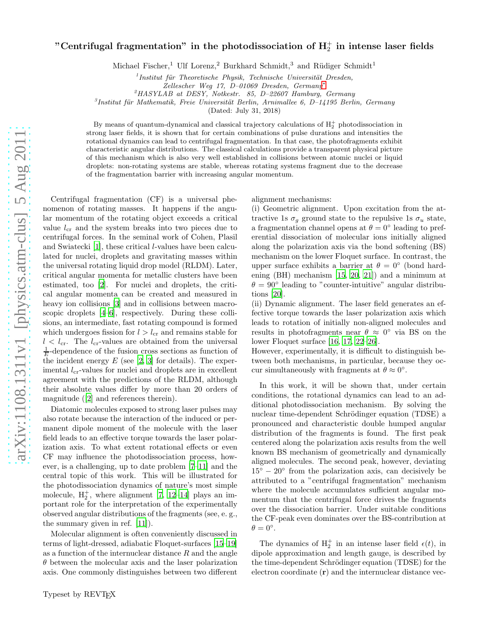## "Centrifugal fragmentation" in the photodissociation of  ${\rm H_2^+}$  in intense laser fields

Michael Fischer,<sup>1</sup> Ulf Lorenz,<sup>2</sup> Burkhard Schmidt,<sup>3</sup> and Rüdiger Schmidt<sup>1</sup>

 $<sup>1</sup>$ Institut für Theoretische Physik, Technische Universität Dresden,</sup>

 $^{2}HASYLAB$  at DESY, Notkestr. 85, D-22607 Hamburg, Germany

 ${}^{3}$ Institut für Mathematik, Freie Universität Berlin, Arnimallee 6, D-14195 Berlin, Germany

(Dated: July 31, 2018)

By means of quantum-dynamical and classical trajectory calculations of  $H_2^+$  photodissociation in strong laser fields, it is shown that for certain combinations of pulse durations and intensities the rotational dynamics can lead to centrifugal fragmentation. In that case, the photofragments exhibit characteristic angular distributions. The classical calculations provide a transparent physical picture of this mechanism which is also very well established in collisions between atomic nuclei or liquid droplets: non-rotating systems are stable, whereas rotating systems fragment due to the decrease of the fragmentation barrier with increasing angular momentum.

Centrifugal fragmentation (CF) is a universal phenomenon of rotating masses. It happens if the angular momentum of the rotating object exceeds a critical value  $l_{cr}$  and the system breaks into two pieces due to centrifugal forces. In the seminal work of Cohen, Plasil and Swiatecki [\[1\]](#page-4-1), these critical l-values have been calculated for nuclei, droplets and gravitating masses within the universal rotating liquid drop model (RLDM). Later, critical angular momenta for metallic clusters have been estimated, too [\[2\]](#page-4-2). For nuclei and droplets, the critical angular momenta can be created and measured in heavy ion collisions [\[3\]](#page-4-3) and in collisions between macroscopic droplets [\[4](#page-4-4)[–6\]](#page-4-5), respectively. During these collisions, an intermediate, fast rotating compound is formed which undergoes fission for  $l > l_{cr}$  and remains stable for  $l < l_{cr}$ . The  $l_{cr}$ -values are obtained from the universal  $\frac{1}{E}$ -dependence of the fusion cross sections as function of the incident energy  $E$  (see [\[2,](#page-4-2) [3\]](#page-4-3) for details). The experimental  $l_{cr}$ -values for nuclei and droplets are in excellent agreement with the predictions of the RLDM, although their absolute values differ by more than 20 orders of magnitude ([\[2\]](#page-4-2) and references therein).

Diatomic molecules exposed to strong laser pulses may also rotate because the interaction of the induced or permanent dipole moment of the molecule with the laser field leads to an effective torque towards the laser polarization axis. To what extent rotational effects or even CF may influence the photodissociation process, however, is a challenging, up to date problem [\[7](#page-4-6)[–11](#page-4-7)] and the central topic of this work. This will be illustrated for the photodissociation dynamics of nature's most simple molecule,  $H_2^+$ , where alignment [\[7,](#page-4-6) [12](#page-4-8)-14] plays an important role for the interpretation of the experimentally observed angular distributions of the fragments (see, e. g., the summary given in ref. [\[11\]](#page-4-7)).

Molecular alignment is often conveniently discussed in terms of light-dressed, adiabatic Floquet-surfaces [\[15](#page-4-10)[–19\]](#page-4-11) as a function of the internuclear distance R and the angle  $\theta$  between the molecular axis and the laser polarization axis. One commonly distinguishes between two different

alignment mechanisms:

(i) Geometric alignment. Upon excitation from the attractive 1s  $\sigma_g$  ground state to the repulsive 1s  $\sigma_u$  state, a fragmentation channel opens at  $\theta = 0^{\circ}$  leading to preferential dissociation of molecular ions initially aligned along the polarization axis via the bond softening (BS) mechanism on the lower Floquet surface. In contrast, the upper surface exhibits a barrier at  $\theta = 0^{\circ}$  (bond hardening (BH) mechanism [\[15](#page-4-10), [20,](#page-4-12) [21\]](#page-4-13)) and a minimum at  $\theta = 90^{\circ}$  leading to "counter-intuitive" angular distributions [\[20](#page-4-12)].

(ii) Dynamic alignment. The laser field generates an effective torque towards the laser polarization axis which leads to rotation of initially non-aligned molecules and results in photofragments near  $\theta \approx 0^{\circ}$  via BS on the lower Floquet surface [\[16](#page-4-14), [17](#page-4-15), [22](#page-4-16)[–26\]](#page-4-17).

However, experimentally, it is difficult to distinguish between both mechanisms, in particular, because they occur simultaneously with fragments at  $\theta \approx 0^{\circ}$ .

In this work, it will be shown that, under certain conditions, the rotational dynamics can lead to an additional photodissociation mechanism. By solving the nuclear time-dependent Schrödinger equation (TDSE) a pronounced and characteristic double humped angular distribution of the fragments is found. The first peak centered along the polarization axis results from the well known BS mechanism of geometrically and dynamically aligned molecules. The second peak, however, deviating  $15\degree - 20\degree$  from the polarization axis, can decisively be attributed to a "centrifugal fragmentation" mechanism where the molecule accumulates sufficient angular momentum that the centrifugal force drives the fragments over the dissociation barrier. Under suitable conditions the CF-peak even dominates over the BS-contribution at  $\theta = 0^{\circ}.$ 

The dynamics of  $H_2^+$  in an intense laser field  $\epsilon(t)$ , in dipole approximation and length gauge, is described by the time-dependent Schrödinger equation (TDSE) for the electron coordinate  $(r)$  and the internuclear distance vec-

Zellescher Weg 17, D–01069 Dresden, Germany[∗](#page-4-0)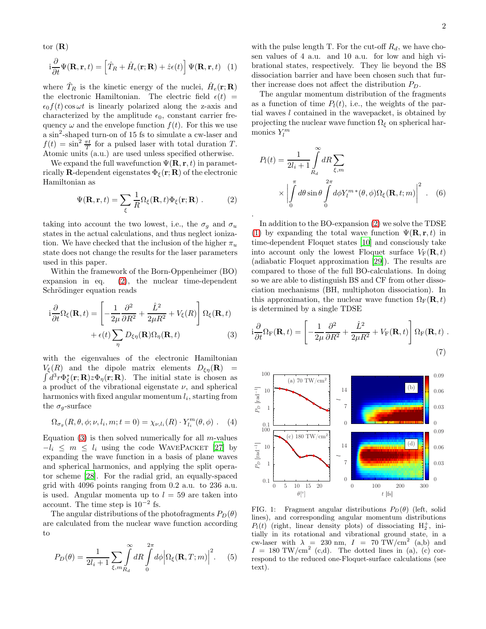tor  $(R)$ 

$$
i\frac{\partial}{\partial t}\Psi(\mathbf{R}, \mathbf{r}, t) = \left[\hat{T}_R + \hat{H}_e(\mathbf{r}; \mathbf{R}) + \hat{z}\epsilon(t)\right]\Psi(\mathbf{R}, \mathbf{r}, t) \tag{1}
$$

where  $\hat{T}_R$  is the kinetic energy of the nuclei,  $\hat{H}_e(\mathbf{r}; \mathbf{R})$ the electronic Hamiltonian. The electric field  $\epsilon(t)$  =  $\epsilon_0 f(t) \cos \omega t$  is linearly polarized along the z-axis and characterized by the amplitude  $\epsilon_0$ , constant carrier frequency  $\omega$  and the envelope function  $f(t)$ . For this we use a sin<sup>2</sup> -shaped turn-on of 15 fs to simulate a cw-laser and  $f(t) = \sin^2 \frac{\pi t}{T}$  for a pulsed laser with total duration T. Atomic units (a.u.) are used unless specified otherwise.

We expand the full wavefunction  $\Psi(\mathbf{R}, \mathbf{r}, t)$  in parametrically **R**-dependent eigenstates  $\Phi_{\xi}(\mathbf{r}; \mathbf{R})$  of the electronic Hamiltonian as

$$
\Psi(\mathbf{R}, \mathbf{r}, t) = \sum_{\xi} \frac{1}{R} \Omega_{\xi}(\mathbf{R}, t) \Phi_{\xi}(\mathbf{r}; \mathbf{R}) . \tag{2}
$$

<span id="page-1-0"></span>.

taking into account the two lowest, i.e., the  $\sigma_g$  and  $\sigma_u$ states in the actual calculations, and thus neglect ionization. We have checked that the inclusion of the higher  $\pi_u$ state does not change the results for the laser parameters used in this paper.

Within the framework of the Born-Oppenheimer (BO) expansion in eq. [\(2\)](#page-1-0), the nuclear time-dependent Schrödinger equation reads

$$
i\frac{\partial}{\partial t}\Omega_{\xi}(\mathbf{R},t) = \left[-\frac{1}{2\mu}\frac{\partial^2}{\partial R^2} + \frac{\hat{L}^2}{2\mu R^2} + V_{\xi}(R)\right]\Omega_{\xi}(\mathbf{R},t) + \epsilon(t)\sum_{\eta} D_{\xi\eta}(\mathbf{R})\Omega_{\eta}(\mathbf{R},t)
$$
(3)

with the eigenvalues of the electronic Hamiltonian  $V_{\xi}(R)$  and the dipole matrix elements  $D_{\xi\eta}(\mathbf{R})$  =  $\int d^3r \Phi_{\xi}^*(\mathbf{r};\mathbf{R}) z \Phi_{\eta}(\mathbf{r};\mathbf{R})$ . The initial state is chosen as a product of the vibrational eigenstate  $\nu$ , and spherical harmonics with fixed angular momentum  $l_i$ , starting from the  $\sigma_g$ -surface

$$
\Omega_{\sigma_g}(R,\theta,\phi;\nu,l_i,m;t=0)=\chi_{\nu,l_i}(R)\cdot Y_{l_i}^m(\theta,\phi)\ .\eqno(4)
$$

Equation  $(3)$  is then solved numerically for all *m*-values  $-l_i \leq m \leq l_i$  using the code WAVEPACKET [\[27\]](#page-4-18) by expanding the wave function in a basis of plane waves and spherical harmonics, and applying the split operator scheme [\[28\]](#page-4-19). For the radial grid, an equally-spaced grid with 4096 points ranging from 0.2 a.u. to 236 a.u. is used. Angular momenta up to  $l = 59$  are taken into account. The time step is  $10^{-2}$  fs.

The angular distributions of the photofragments  $P_D(\theta)$ are calculated from the nuclear wave function according to

$$
P_D(\theta) = \frac{1}{2l_i + 1} \sum_{\xi, m_{R_d}} \int_0^{\infty} dR \int_0^{2\pi} d\phi \Big| \Omega_{\xi}(\mathbf{R}, T; m) \Big|^2. \tag{5}
$$

<span id="page-1-2"></span>with the pulse length T. For the cut-off  $R_d$ , we have chosen values of 4 a.u. and 10 a.u. for low and high vibrational states, respectively. They lie beyond the BS dissociation barrier and have been chosen such that further increase does not affect the distribution  $P_D$ .

The angular momentum distribution of the fragments as a function of time  $P_l(t)$ , i.e., the weights of the partial waves  $l$  contained in the wavepacket, is obtained by projecting the nuclear wave function  $\Omega_{\xi}$  on spherical harmonics  $Y_l^m$ 

$$
P_l(t) = \frac{1}{2l_i + 1} \int_{R_d}^{\infty} dR \sum_{\xi, m}
$$

$$
\times \left| \int_{0}^{\pi} d\theta \sin \theta \int_{0}^{2\pi} d\phi Y_l^{m*}(\theta, \phi) \Omega_{\xi}(\mathbf{R}, t; m) \right|^2. \quad (6)
$$

In addition to the BO-expansion [\(2\)](#page-1-0) we solve the TDSE [\(1\)](#page-1-2) by expanding the total wave function  $\Psi(\mathbf{R}, \mathbf{r}, t)$  in time-dependent Floquet states [\[10](#page-4-20)] and consciously take into account only the lowest Floquet surface  $V_F(\mathbf{R}, t)$ (adiabatic Floquet approximation [\[29](#page-4-21)]). The results are compared to those of the full BO-calculations. In doing so we are able to distinguish BS and CF from other dissociation mechanisms (BH, multiphoton dissociation). In this approximation, the nuclear wave function  $\Omega_F(\mathbf{R}, t)$ is determined by a single TDSE

<span id="page-1-3"></span><span id="page-1-1"></span>
$$
i\frac{\partial}{\partial t}\Omega_{\rm F}(\mathbf{R},t) = \left[-\frac{1}{2\mu}\frac{\partial^2}{\partial R^2} + \frac{\hat{L}^2}{2\mu R^2} + V_{\rm F}(\mathbf{R},t)\right]\Omega_{\rm F}(\mathbf{R},t) .
$$
\n(7)



<span id="page-1-4"></span>FIG. 1: Fragment angular distributions  $P_D(\theta)$  (left, solid lines), and corresponding angular momentum distributions  $P_l(t)$  (right, linear density plots) of dissociating  $H_2^+$ , initially in its rotational and vibrational ground state, in a cw-laser with  $\lambda = 230$  nm,  $I = 70$  TW/cm<sup>2</sup> (a,b) and  $I = 180 \text{ TW/cm}^2$  (c,d). The dotted lines in (a), (c) correspond to the reduced one-Floquet-surface calculations (see text).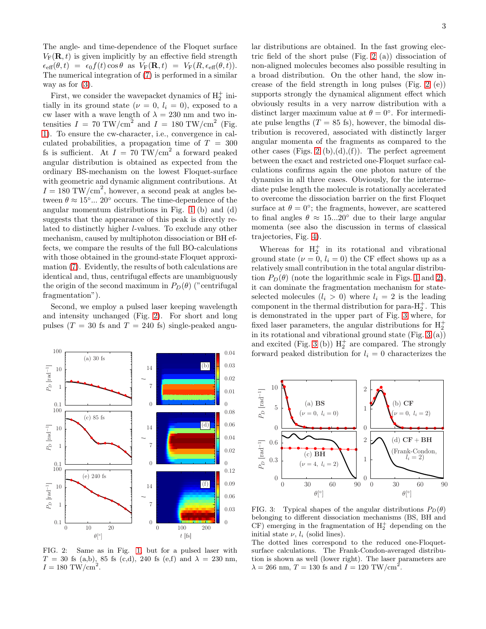The angle- and time-dependence of the Floquet surface  $V_F(\mathbf{R}, t)$  is given implicitly by an effective field strength  $\epsilon_{\text{eff}}(\theta, t) = \epsilon_0 f(t) \cos \theta$  as  $V_F(\mathbf{R}, t) = V_F(R, \epsilon_{\text{eff}}(\theta, t)).$ The numerical integration of [\(7\)](#page-1-3) is performed in a similar way as for  $(3)$ .

First, we consider the wavepacket dynamics of  $\mathrm{H}_2^+$  initially in its ground state ( $\nu = 0$ ,  $l_i = 0$ ), exposed to a cw laser with a wave length of  $\lambda = 230$  nm and two intensities  $I = 70 \text{ TW/cm}^2$  and  $I = 180 \text{ TW/cm}^2$  (Fig. [1\)](#page-1-4). To ensure the cw-character, i.e., convergence in calculated probabilities, a propagation time of  $T = 300$ fs is sufficient. At  $I = 70$  TW/cm<sup>2</sup> a forward peaked angular distribution is obtained as expected from the ordinary BS-mechanism on the lowest Floquet-surface with geometric and dynamic alignment contributions. At  $I = 180$  TW/cm<sup>2</sup>, however, a second peak at angles between  $\theta \approx 15^{\circ}...$  20° occurs. The time-dependence of the angular momentum distributions in Fig. [1](#page-1-4) (b) and (d) suggests that the appearance of this peak is directly related to distinctly higher l-values. To exclude any other mechanism, caused by multiphoton dissociation or BH effects, we compare the results of the full BO-calculations with those obtained in the ground-state Floquet approximation [\(7\)](#page-1-3). Evidently, the results of both calculations are identical and, thus, centrifugal effects are unambiguously the origin of the second maximum in  $P_D(\theta)$  ("centrifugal fragmentation").

Second, we employ a pulsed laser keeping wavelength and intensity unchanged (Fig. [2\)](#page-2-0). For short and long pulses ( $T = 30$  fs and  $T = 240$  fs) single-peaked angu-



<span id="page-2-0"></span>FIG. 2: Same as in Fig. [1,](#page-1-4) but for a pulsed laser with  $T = 30$  fs (a,b), 85 fs (c,d), 240 fs (e,f) and  $\lambda = 230$  nm.  $I = 180$  TW/cm<sup>2</sup>.

lar distributions are obtained. In the fast growing electric field of the short pulse (Fig. [2](#page-2-0) (a)) dissociation of non-aligned molecules becomes also possible resulting in a broad distribution. On the other hand, the slow increase of the field strength in long pulses (Fig. [2](#page-2-0) (e)) supports strongly the dynamical alignment effect which obviously results in a very narrow distribution with a distinct larger maximum value at  $\theta = 0^{\circ}$ . For intermediate pulse lengths  $(T = 85 \text{ fs})$ , however, the bimodal distribution is recovered, associated with distinctly larger angular momenta of the fragments as compared to the other cases (Figs. [2](#page-2-0) (b), $(d)$ , $(f)$ ). The perfect agreement between the exact and restricted one-Floquet surface calculations confirms again the one photon nature of the dynamics in all three cases. Obviously, for the intermediate pulse length the molecule is rotationally accelerated to overcome the dissociation barrier on the first Floquet surface at  $\theta = 0^{\circ}$ ; the fragments, however, are scattered to final angles  $\theta \approx 15...20^{\circ}$  due to their large angular momenta (see also the discussion in terms of classical trajectories, Fig. [4\)](#page-3-0).

Whereas for  $H_2^+$  in its rotational and vibrational ground state  $(\nu = 0, l_i = 0)$  the CF effect shows up as a relatively small contribution in the total angular distribution  $P_D(\theta)$  (note the logarithmic scale in Figs. [1](#page-1-4) and [2\)](#page-2-0), it can dominate the fragmentation mechanism for stateselected molecules  $(l_i > 0)$  where  $l_i = 2$  is the leading component in the thermal distribution for para- $H_2^+$ . This is demonstrated in the upper part of Fig. [3](#page-2-1) where, for fixed laser parameters, the angular distributions for  ${\rm H_2^+}$ in its rotational and vibrational ground state (Fig. [3](#page-2-1) (a)) and excited (Fig. [3](#page-2-1) (b))  $H_2^+$  are compared. The strongly forward peaked distribution for  $l_i = 0$  characterizes the



<span id="page-2-1"></span>FIG. 3: Typical shapes of the angular distributions  $P_D(\theta)$ belonging to different dissociation mechanisms (BS, BH and CF) emerging in the fragmentation of  $H_2^+$  depending on the initial state  $\nu$ ,  $l_i$  (solid lines).

The dotted lines correspond to the reduced one-Floquetsurface calculations. The Frank-Condon-averaged distribution is shown as well (lower right). The laser parameters are  $\lambda = 266$  nm,  $T = 130$  fs and  $I = 120$  TW/cm<sup>2</sup>.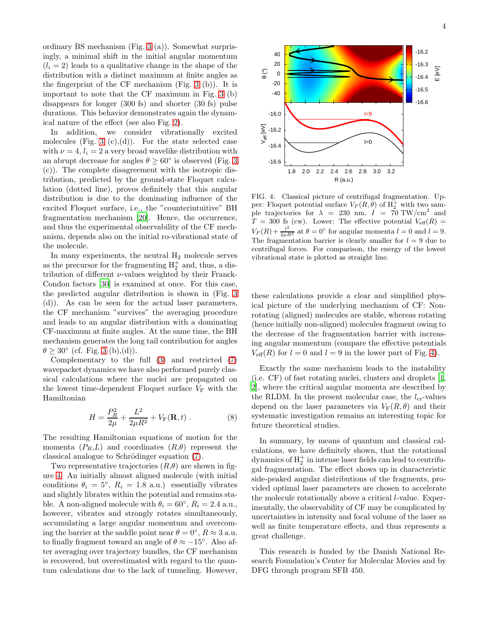ordinary BS mechanism (Fig. [3](#page-2-1) (a)). Somewhat surprisingly, a minimal shift in the initial angular momentum  $(l_i = 2)$  leads to a qualitative change in the shape of the distribution with a distinct maximum at finite angles as the fingerprint of the CF mechanism (Fig. [3](#page-2-1) (b)). It is important to note that the CF maximum in Fig. [3](#page-2-1) (b) disappears for longer (300 fs) and shorter (30 fs) pulse durations. This behavior demonstrates again the dynamical nature of the effect (see also Fig. [2\)](#page-2-0).

In addition, we consider vibrationally excited molecules (Fig. [3](#page-2-1)  $(c)$ , $(d)$ ). For the state selected case with  $\nu = 4$ ,  $l_i = 2$  a very broad wavelike distribution with an abrupt decrease for angles  $\theta \geq 60^{\circ}$  is observed (Fig. [3](#page-2-1)) (c)). The complete disagreement with the isotropic distribution, predicted by the ground-state Floquet calculation (dotted line), proves definitely that this angular distribution is due to the dominating influence of the excited Floquet surface, i.e., the "counterintuitive" BH fragmentation mechanism [\[20\]](#page-4-12). Hence, the occurrence, and thus the experimental observability of the CF mechanism, depends also on the initial ro-vibrational state of the molecule.

In many experiments, the neutral  $H_2$  molecule serves as the precursor for the fragmenting  $H_2^+$  and, thus, a distribution of different  $\nu$ -values weighted by their Franck-Condon factors [\[30](#page-4-22)] is examined at once. For this case, the predicted angular distribution is shown in (Fig. [3](#page-2-1) (d)). As can be seen for the actual laser parameters, the CF mechanism "survives" the averaging procedure and leads to an angular distribution with a dominating CF-maximum at finite angles. At the same time, the BH mechanism generates the long tail contribution for angles  $\theta \geq 30^{\circ}$  $\theta \geq 30^{\circ}$  $\theta \geq 30^{\circ}$  (cf. Fig. 3 (b),(d)).

Complementary to the full [\(3\)](#page-1-1) and restricted [\(7\)](#page-1-3) wavepacket dynamics we have also performed purely classical calculations where the nuclei are propagated on the lowest time-dependent Floquet surface  $V_F$  with the Hamiltonian

$$
H = \frac{P_R^2}{2\mu} + \frac{L^2}{2\mu R^2} + V_F(\mathbf{R}, t) .
$$
 (8)

The resulting Hamiltonian equations of motion for the momenta  $(P_R, L)$  and coordinates  $(R, \theta)$  represent the classical analogue to Schrödinger equation [\(7\)](#page-1-3).

Two representative trajectories  $(R,\theta)$  are shown in figure [4.](#page-3-0) An initially almost aligned molecule (with initial conditions  $\theta_i = 5^\circ$ ,  $R_i = 1.8$  a.u.) essentially vibrates and slightly librates within the potential and remains stable. A non-aligned molecule with  $\theta_i = 60^\circ$ ,  $R_i = 2.4$  a.u., however, vibrates and strongly rotates simultaneously, accumulating a large angular momentum and overcoming the barrier at the saddle point near  $\theta = 0^{\circ}$ ,  $R \approx 3$  a.u. to finally fragment toward an angle of  $\theta \approx -15^{\circ}$ . Also after averaging over trajectory bundles, the CF mechanism is recovered, but overestimated with regard to the quantum calculations due to the lack of tunneling. However,



<span id="page-3-0"></span>FIG. 4: Classical picture of centrifugal fragmentation. Upper: Floquet potential surface  $V_F(R,\theta)$  of  $H_2^+$  with two sample trajectories for  $\lambda = 230$  nm,  $I = 70$  TW/cm<sup>2</sup> and  $T = 300$  fs (cw). Lower: The effective potential  $V_{\text{eff}}(R) =$  $V_F(R) + \frac{l^2}{2\mu R^2}$  at  $\theta = 0^\circ$  for angular momenta  $l = 0$  and  $l = 9$ . The fragmentation barrier is clearly smaller for  $l = 9$  due to centrifugal forces. For comparison, the energy of the lowest vibrational state is plotted as straight line.

these calculations provide a clear and simplified physical picture of the underlying mechanism of CF: Nonrotating (aligned) molecules are stable, whereas rotating (hence initially non-aligned) molecules fragment owing to the decrease of the fragmentation barrier with increasing angular momentum (compare the effective potentials  $V_{\text{eff}}(R)$  for  $l = 0$  and  $l = 9$  in the lower part of Fig. [4\)](#page-3-0).

Exactly the same mechanism leads to the instability (i.e. CF) of fast rotating nuclei, clusters and droplets [\[1](#page-4-1), [2\]](#page-4-2), where the critical angular momenta are described by the RLDM. In the present molecular case, the  $l_{cr}$ -values depend on the laser parameters via  $V_F(R, \theta)$  and their systematic investigation remains an interesting topic for future theoretical studies.

In summary, by means of quantum and classical calculations, we have definitely shown, that the rotational dynamics of  ${\rm H_2^+}$  in intense laser fields can lead to centrifugal fragmentation. The effect shows up in characteristic side-peaked angular distributions of the fragments, provided optimal laser parameters are chosen to accelerate the molecule rotationally above a critical l-value. Experimentally, the observability of CF may be complicated by uncertainties in intensity and focal volume of the laser as well as finite temperature effects, and thus represents a great challenge.

This research is funded by the Danish National Research Foundation's Center for Molecular Movies and by DFG through program SFB 450.